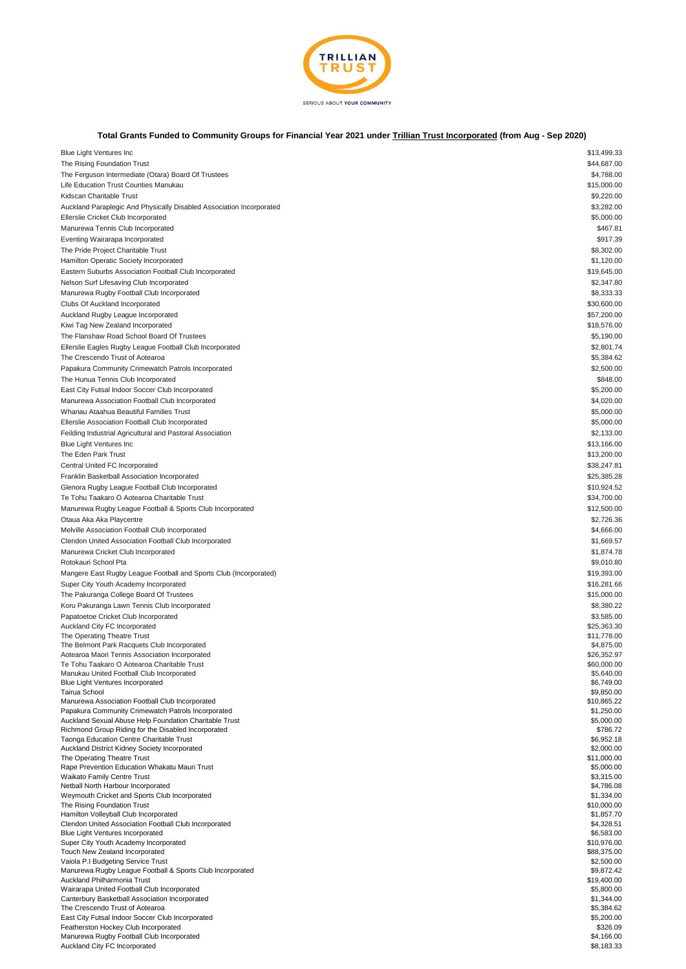

## **Total Grants Funded to Community Groups for Financial Year 2021 under Trillian Trust Incorporated (from Aug - Sep 2020)**

| <b>Blue Light Ventures Inc</b>                                       | \$13,499.33 |
|----------------------------------------------------------------------|-------------|
| The Rising Foundation Trust                                          | \$44,687.00 |
| The Ferguson Intermediate (Otara) Board Of Trustees                  | \$4,788.00  |
| Life Education Trust Counties Manukau                                | \$15,000.00 |
| Kidscan Charitable Trust                                             | \$9,220.00  |
| Auckland Paraplegic And Physically Disabled Association Incorporated | \$3,282.00  |
|                                                                      |             |
| Ellerslie Cricket Club Incorporated                                  | \$5,000.00  |
| Manurewa Tennis Club Incorporated                                    | \$467.81    |
| Eventing Wairarapa Incorporated                                      | \$917.39    |
| The Pride Project Charitable Trust                                   | \$8,302.00  |
| Hamilton Operatic Society Incorporated                               | \$1,120.00  |
| Eastern Suburbs Association Football Club Incorporated               | \$19,645.00 |
|                                                                      |             |
| Nelson Surf Lifesaving Club Incorporated                             | \$2,347.80  |
| Manurewa Rugby Football Club Incorporated                            | \$8,333.33  |
| Clubs Of Auckland Incorporated                                       | \$30,600.00 |
| Auckland Rugby League Incorporated                                   | \$57,200.00 |
| Kiwi Tag New Zealand Incorporated                                    | \$18,576.00 |
|                                                                      |             |
| The Flanshaw Road School Board Of Trustees                           | \$5,190.00  |
| Ellerslie Eagles Rugby League Football Club Incorporated             | \$2,801.74  |
| The Crescendo Trust of Aotearoa                                      | \$5,384.62  |
| Papakura Community Crimewatch Patrols Incorporated                   | \$2,500.00  |
| The Hunua Tennis Club Incorporated                                   | \$848.00    |
| East City Futsal Indoor Soccer Club Incorporated                     | \$5,200.00  |
|                                                                      |             |
| Manurewa Association Football Club Incorporated                      | \$4,020.00  |
| Whanau Ataahua Beautiful Families Trust                              | \$5,000.00  |
| Ellerslie Association Football Club Incorporated                     | \$5,000.00  |
| Feilding Industrial Agricultural and Pastoral Association            | \$2,133.00  |
| <b>Blue Light Ventures Inc</b>                                       | \$13,166.00 |
|                                                                      | \$13,200.00 |
| The Eden Park Trust                                                  |             |
| Central United FC Incorporated                                       | \$38,247.81 |
| Franklin Basketball Association Incorporated                         | \$25,385.28 |
| Glenora Rugby League Football Club Incorporated                      | \$10,924.52 |
| Te Tohu Taakaro O Aotearoa Charitable Trust                          | \$34,700.00 |
| Manurewa Rugby League Football & Sports Club Incorporated            | \$12,500.00 |
|                                                                      | \$2,726.36  |
| Otaua Aka Aka Playcentre                                             |             |
| Melville Association Football Club Incorporated                      | \$4,666.00  |
| Clendon United Association Football Club Incorporated                | \$1,669.57  |
| Manurewa Cricket Club Incorporated                                   | \$1,874.78  |
| Rotokauri School Pta                                                 | \$9,010.80  |
| Mangere East Rugby League Football and Sports Club (Incorporated)    | \$19,393.00 |
|                                                                      |             |
| Super City Youth Academy Incorporated                                | \$16,281.66 |
| The Pakuranga College Board Of Trustees                              | \$15,000.00 |
| Koru Pakuranga Lawn Tennis Club Incorporated                         | \$8,380.22  |
| Papatoetoe Cricket Club Incorporated                                 | \$3,585.00  |
| Auckland City FC Incorporated                                        | \$25,363.30 |
| The Operating Theatre Trust                                          | \$11,778.00 |
| The Belmont Park Racquets Club Incorporated                          | \$4,875.00  |
| Aotearoa Maori Tennis Association Incorporated                       | \$26,352.97 |
| Te Tohu Taakaro O Aotearoa Charitable Trust                          | \$60,000.00 |
| Manukau United Football Club Incorporated                            | \$5,640.00  |
| Blue Light Ventures Incorporated                                     | \$6,749.00  |
| Tairua School                                                        | \$9,850.00  |
| Manurewa Association Football Club Incorporated                      | \$10,865.22 |
| Papakura Community Crimewatch Patrols Incorporated                   | \$1,250.00  |
| Auckland Sexual Abuse Help Foundation Charitable Trust               | \$5,000.00  |
| Richmond Group Riding for the Disabled Incorporated                  | \$786.72    |
| Taonga Education Centre Charitable Trust                             | \$6,952.18  |
| Auckland District Kidney Society Incorporated                        | \$2,000.00  |
| The Operating Theatre Trust                                          | \$11,000.00 |
| Rape Prevention Education Whakatu Mauri Trust                        | \$5,000.00  |
| Waikato Family Centre Trust                                          | \$3,315.00  |
| Netball North Harbour Incorporated                                   | \$4,786.08  |
| Weymouth Cricket and Sports Club Incorporated                        |             |
| The Rising Foundation Trust                                          | \$1,334.00  |
|                                                                      | \$10,000.00 |
| Hamilton Volleyball Club Incorporated                                | \$1,857.70  |
| Clendon United Association Football Club Incorporated                | \$4,328.51  |
| Blue Light Ventures Incorporated                                     | \$6,583.00  |
| Super City Youth Academy Incorporated                                | \$10,976.00 |
| Touch New Zealand Incorporated                                       | \$88,375.00 |
| Vaiola P.I Budgeting Service Trust                                   | \$2,500.00  |
| Manurewa Rugby League Football & Sports Club Incorporated            | \$9,872.42  |
| Auckland Philharmonia Trust                                          | \$19,400.00 |
| Wairarapa United Football Club Incorporated                          | \$5,800.00  |
| Canterbury Basketball Association Incorporated                       | \$1,344.00  |
| The Crescendo Trust of Aotearoa                                      | \$5,384.62  |
| East City Futsal Indoor Soccer Club Incorporated                     | \$5,200.00  |
| Featherston Hockey Club Incorporated                                 | \$326.09    |
| Manurewa Rugby Football Club Incorporated                            | \$4,166.00  |
| Auckland City FC Incorporated                                        | \$8,183.33  |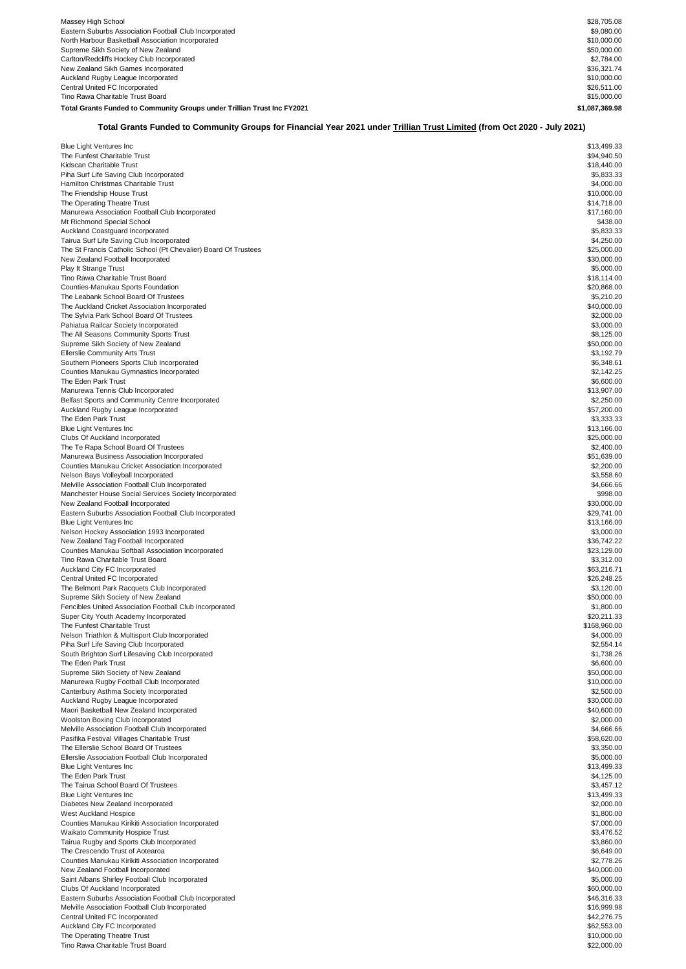| Massey High School                                                      | \$28,705.08    |
|-------------------------------------------------------------------------|----------------|
| Eastern Suburbs Association Football Club Incorporated                  | \$9,080,00     |
| North Harbour Basketball Association Incorporated                       | \$10,000.00    |
| Supreme Sikh Society of New Zealand                                     | \$50,000.00    |
| Carlton/Redcliffs Hockey Club Incorporated                              | \$2,784.00     |
| New Zealand Sikh Games Incorporated                                     | \$36,321,74    |
| Auckland Rugby League Incorporated                                      | \$10,000.00    |
| Central United FC Incorporated                                          | \$26,511.00    |
| Tino Rawa Charitable Trust Board                                        | \$15,000.00    |
| Total Grants Funded to Community Groups under Trillian Trust Inc FY2021 | \$1.087.369.98 |

## **Total Grants Funded to Community Groups for Financial Year 2021 under Trillian Trust Limited (from Oct 2020 - July 2021)**

| <b>Blue Light Ventures Inc</b>                                  | \$13,499.33  |
|-----------------------------------------------------------------|--------------|
| The Funfest Charitable Trust                                    | \$94,940.50  |
| Kidscan Charitable Trust                                        | \$18,440.00  |
|                                                                 | \$5,833,33   |
| Piha Surf Life Saving Club Incorporated                         |              |
| Hamilton Christmas Charitable Trust                             | \$4,000.00   |
| The Friendship House Trust                                      | \$10,000.00  |
| The Operating Theatre Trust                                     | \$14,718.00  |
| Manurewa Association Football Club Incorporated                 | \$17,160.00  |
| Mt Richmond Special School                                      | \$438.00     |
|                                                                 |              |
| Auckland Coastguard Incorporated                                | \$5,833.33   |
| Tairua Surf Life Saving Club Incorporated                       | \$4,250.00   |
| The St Francis Catholic School (Pt Chevalier) Board Of Trustees | \$25,000.00  |
| New Zealand Football Incorporated                               | \$30,000.00  |
| Play It Strange Trust                                           | \$5,000.00   |
| Tino Rawa Charitable Trust Board                                | \$18.114.00  |
|                                                                 |              |
| Counties-Manukau Sports Foundation                              | \$20,868.00  |
| The Leabank School Board Of Trustees                            | \$5,210.20   |
| The Auckland Cricket Association Incorporated                   | \$40,000.00  |
| The Sylvia Park School Board Of Trustees                        | \$2,000.00   |
| Pahiatua Railcar Society Incorporated                           | \$3,000.00   |
|                                                                 |              |
| The All Seasons Community Sports Trust                          | \$8,125.00   |
| Supreme Sikh Society of New Zealand                             | \$50,000.00  |
| <b>Ellerslie Community Arts Trust</b>                           | \$3,192.79   |
| Southern Pioneers Sports Club Incorporated                      | \$6,348.61   |
| Counties Manukau Gymnastics Incorporated                        | \$2,142.25   |
|                                                                 |              |
| The Eden Park Trust                                             | \$6,600.00   |
| Manurewa Tennis Club Incorporated                               | \$13,907.00  |
| Belfast Sports and Community Centre Incorporated                | \$2,250.00   |
| Auckland Rugby League Incorporated                              | \$57,200.00  |
| The Eden Park Trust                                             | \$3,333.33   |
| Blue Light Ventures Inc                                         | \$13,166.00  |
|                                                                 |              |
| Clubs Of Auckland Incorporated                                  | \$25,000.00  |
| The Te Rapa School Board Of Trustees                            | \$2,400.00   |
| Manurewa Business Association Incorporated                      | \$51,639.00  |
| Counties Manukau Cricket Association Incorporated               | \$2,200.00   |
| Nelson Bays Volleyball Incorporated                             | \$3,558.60   |
|                                                                 |              |
| Melville Association Football Club Incorporated                 | \$4,666.66   |
| Manchester House Social Services Society Incorporated           | \$998.00     |
| New Zealand Football Incorporated                               | \$30,000.00  |
| Eastern Suburbs Association Football Club Incorporated          | \$29,741.00  |
| <b>Blue Light Ventures Inc</b>                                  | \$13,166.00  |
|                                                                 | \$3,000.00   |
| Nelson Hockey Association 1993 Incorporated                     |              |
| New Zealand Tag Football Incorporated                           | \$36,742.22  |
| Counties Manukau Softball Association Incorporated              | \$23,129.00  |
| Tino Rawa Charitable Trust Board                                | \$3,312.00   |
| Auckland City FC Incorporated                                   | \$63,216.71  |
| Central United FC Incorporated                                  | \$26,248.25  |
| The Belmont Park Racquets Club Incorporated                     |              |
|                                                                 | \$3,120.00   |
| Supreme Sikh Society of New Zealand                             | \$50,000.00  |
| Fencibles United Association Football Club Incorporated         | \$1,800.00   |
| Super City Youth Academy Incorporated                           | \$20,211.33  |
| The Funfest Charitable Trust                                    | \$168,960.00 |
| Nelson Triathlon & Multisport Club Incorporated                 | \$4,000.00   |
| Piha Surf Life Saving Club Incorporated                         | \$2,554.14   |
|                                                                 |              |
| South Brighton Surf Lifesaving Club Incorporated                | \$1,738.26   |
| The Eden Park Trust                                             | \$6,600.00   |
| Supreme Sikh Society of New Zealand                             | \$50,000.00  |
| Manurewa Rugby Football Club Incorporated                       | \$10,000.00  |
| Canterbury Asthma Society Incorporated                          | \$2,500.00   |
| Auckland Rugby League Incorporated                              | \$30,000.00  |
|                                                                 |              |
| Maori Basketball New Zealand Incorporated                       | \$40,600.00  |
| Woolston Boxing Club Incorporated                               | \$2,000.00   |
| Melville Association Football Club Incorporated                 | \$4,666.66   |
| Pasifika Festival Villages Charitable Trust                     | \$58,620.00  |
| The Ellerslie School Board Of Trustees                          | \$3,350.00   |
| Ellerslie Association Football Club Incorporated                | \$5,000.00   |
|                                                                 |              |
| <b>Blue Light Ventures Inc.</b>                                 | \$13,499.33  |
| The Eden Park Trust                                             | \$4,125.00   |
| The Tairua School Board Of Trustees                             | \$3,457.12   |
| Blue Light Ventures Inc                                         | \$13,499.33  |
| Diabetes New Zealand Incorporated                               | \$2,000.00   |
|                                                                 |              |
| <b>West Auckland Hospice</b>                                    | \$1,800.00   |
| Counties Manukau Kirikiti Association Incorporated              | \$7,000.00   |
| <b>Waikato Community Hospice Trust</b>                          | \$3,476.52   |
| Tairua Rugby and Sports Club Incorporated                       | \$3,860.00   |
| The Crescendo Trust of Aotearoa                                 | \$6,649.00   |
|                                                                 |              |
| Counties Manukau Kirikiti Association Incorporated              | \$2,778.26   |
| New Zealand Football Incorporated                               | \$40,000.00  |
| Saint Albans Shirley Football Club Incorporated                 | \$5,000.00   |
| Clubs Of Auckland Incorporated                                  | \$60,000.00  |
| Eastern Suburbs Association Football Club Incorporated          | \$46,316.33  |
|                                                                 |              |
| Melville Association Football Club Incorporated                 | \$16,999.98  |
| Central United FC Incorporated                                  | \$42,276.75  |
| Auckland City FC Incorporated                                   | \$62,553.00  |
| The Operating Theatre Trust                                     | \$10,000.00  |
| Tino Rawa Charitable Trust Board                                | \$22,000.00  |
|                                                                 |              |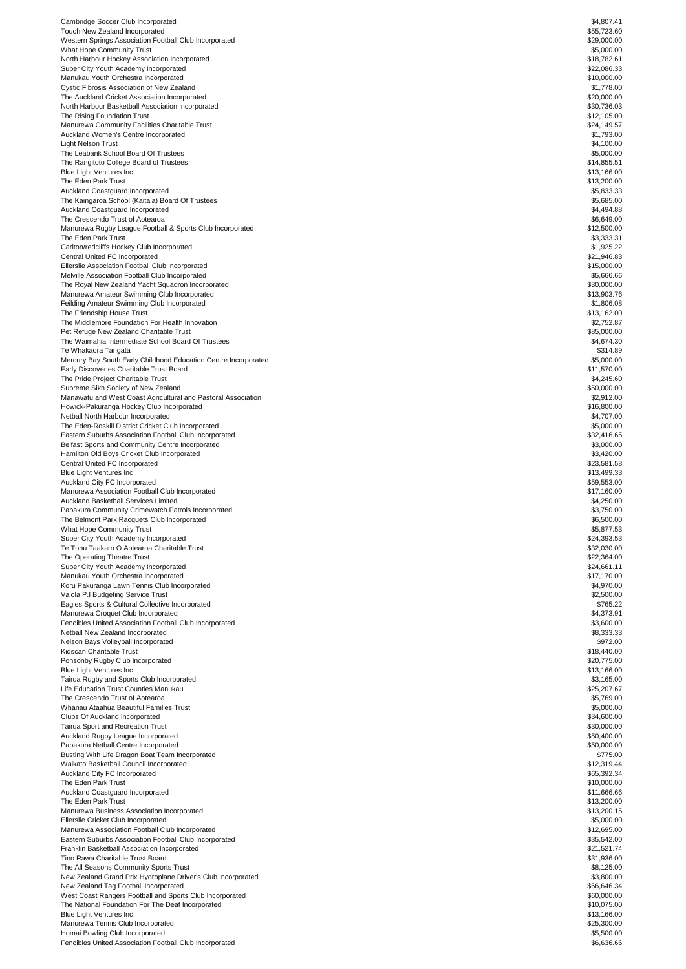| Cambridge Soccer Club Incorporated                                                                                                                                                                                                                                                                                                                                                                                                                                                                                                                                                                                                                                                                                                                                                                                                                                                                                                                                                                                                                                                                                                                                                                                                                                                                 | \$4,807.41  |
|----------------------------------------------------------------------------------------------------------------------------------------------------------------------------------------------------------------------------------------------------------------------------------------------------------------------------------------------------------------------------------------------------------------------------------------------------------------------------------------------------------------------------------------------------------------------------------------------------------------------------------------------------------------------------------------------------------------------------------------------------------------------------------------------------------------------------------------------------------------------------------------------------------------------------------------------------------------------------------------------------------------------------------------------------------------------------------------------------------------------------------------------------------------------------------------------------------------------------------------------------------------------------------------------------|-------------|
| Touch New Zealand Incorporated                                                                                                                                                                                                                                                                                                                                                                                                                                                                                                                                                                                                                                                                                                                                                                                                                                                                                                                                                                                                                                                                                                                                                                                                                                                                     | \$55,723.60 |
| Western Springs Association Football Club Incorporated                                                                                                                                                                                                                                                                                                                                                                                                                                                                                                                                                                                                                                                                                                                                                                                                                                                                                                                                                                                                                                                                                                                                                                                                                                             | \$29,000.00 |
| <b>What Hope Community Trust</b>                                                                                                                                                                                                                                                                                                                                                                                                                                                                                                                                                                                                                                                                                                                                                                                                                                                                                                                                                                                                                                                                                                                                                                                                                                                                   | \$5,000.00  |
| North Harbour Hockey Association Incorporated                                                                                                                                                                                                                                                                                                                                                                                                                                                                                                                                                                                                                                                                                                                                                                                                                                                                                                                                                                                                                                                                                                                                                                                                                                                      | \$18,782.61 |
| Super City Youth Academy Incorporated                                                                                                                                                                                                                                                                                                                                                                                                                                                                                                                                                                                                                                                                                                                                                                                                                                                                                                                                                                                                                                                                                                                                                                                                                                                              | \$22,086.33 |
| Manukau Youth Orchestra Incorporated                                                                                                                                                                                                                                                                                                                                                                                                                                                                                                                                                                                                                                                                                                                                                                                                                                                                                                                                                                                                                                                                                                                                                                                                                                                               | \$10,000.00 |
| Cystic Fibrosis Association of New Zealand                                                                                                                                                                                                                                                                                                                                                                                                                                                                                                                                                                                                                                                                                                                                                                                                                                                                                                                                                                                                                                                                                                                                                                                                                                                         | \$1,778.00  |
| The Auckland Cricket Association Incorporated                                                                                                                                                                                                                                                                                                                                                                                                                                                                                                                                                                                                                                                                                                                                                                                                                                                                                                                                                                                                                                                                                                                                                                                                                                                      | \$20,000.00 |
| North Harbour Basketball Association Incorporated                                                                                                                                                                                                                                                                                                                                                                                                                                                                                                                                                                                                                                                                                                                                                                                                                                                                                                                                                                                                                                                                                                                                                                                                                                                  | \$30,736.03 |
| The Rising Foundation Trust                                                                                                                                                                                                                                                                                                                                                                                                                                                                                                                                                                                                                                                                                                                                                                                                                                                                                                                                                                                                                                                                                                                                                                                                                                                                        | \$12,105.00 |
|                                                                                                                                                                                                                                                                                                                                                                                                                                                                                                                                                                                                                                                                                                                                                                                                                                                                                                                                                                                                                                                                                                                                                                                                                                                                                                    |             |
| Manurewa Community Facilities Charitable Trust                                                                                                                                                                                                                                                                                                                                                                                                                                                                                                                                                                                                                                                                                                                                                                                                                                                                                                                                                                                                                                                                                                                                                                                                                                                     | \$24,149.57 |
| Auckland Women's Centre Incorporated                                                                                                                                                                                                                                                                                                                                                                                                                                                                                                                                                                                                                                                                                                                                                                                                                                                                                                                                                                                                                                                                                                                                                                                                                                                               | \$1,793.00  |
| Light Nelson Trust                                                                                                                                                                                                                                                                                                                                                                                                                                                                                                                                                                                                                                                                                                                                                                                                                                                                                                                                                                                                                                                                                                                                                                                                                                                                                 | \$4,100.00  |
| The Leabank School Board Of Trustees                                                                                                                                                                                                                                                                                                                                                                                                                                                                                                                                                                                                                                                                                                                                                                                                                                                                                                                                                                                                                                                                                                                                                                                                                                                               | \$5,000.00  |
| The Rangitoto College Board of Trustees                                                                                                                                                                                                                                                                                                                                                                                                                                                                                                                                                                                                                                                                                                                                                                                                                                                                                                                                                                                                                                                                                                                                                                                                                                                            | \$14,855.51 |
| Blue Light Ventures Inc                                                                                                                                                                                                                                                                                                                                                                                                                                                                                                                                                                                                                                                                                                                                                                                                                                                                                                                                                                                                                                                                                                                                                                                                                                                                            | \$13,166.00 |
| The Eden Park Trust                                                                                                                                                                                                                                                                                                                                                                                                                                                                                                                                                                                                                                                                                                                                                                                                                                                                                                                                                                                                                                                                                                                                                                                                                                                                                | \$13,200.00 |
| Auckland Coastguard Incorporated                                                                                                                                                                                                                                                                                                                                                                                                                                                                                                                                                                                                                                                                                                                                                                                                                                                                                                                                                                                                                                                                                                                                                                                                                                                                   | \$5,833.33  |
| The Kaingaroa School (Kaitaia) Board Of Trustees                                                                                                                                                                                                                                                                                                                                                                                                                                                                                                                                                                                                                                                                                                                                                                                                                                                                                                                                                                                                                                                                                                                                                                                                                                                   | \$5,685.00  |
| Auckland Coastguard Incorporated                                                                                                                                                                                                                                                                                                                                                                                                                                                                                                                                                                                                                                                                                                                                                                                                                                                                                                                                                                                                                                                                                                                                                                                                                                                                   | \$4,494.88  |
| The Crescendo Trust of Aotearoa                                                                                                                                                                                                                                                                                                                                                                                                                                                                                                                                                                                                                                                                                                                                                                                                                                                                                                                                                                                                                                                                                                                                                                                                                                                                    | \$6,649.00  |
| Manurewa Rugby League Football & Sports Club Incorporated                                                                                                                                                                                                                                                                                                                                                                                                                                                                                                                                                                                                                                                                                                                                                                                                                                                                                                                                                                                                                                                                                                                                                                                                                                          | \$12,500.00 |
|                                                                                                                                                                                                                                                                                                                                                                                                                                                                                                                                                                                                                                                                                                                                                                                                                                                                                                                                                                                                                                                                                                                                                                                                                                                                                                    |             |
| The Eden Park Trust                                                                                                                                                                                                                                                                                                                                                                                                                                                                                                                                                                                                                                                                                                                                                                                                                                                                                                                                                                                                                                                                                                                                                                                                                                                                                | \$3,333.31  |
| Carlton/redcliffs Hockey Club Incorporated                                                                                                                                                                                                                                                                                                                                                                                                                                                                                                                                                                                                                                                                                                                                                                                                                                                                                                                                                                                                                                                                                                                                                                                                                                                         | \$1,925.22  |
| Central United FC Incorporated                                                                                                                                                                                                                                                                                                                                                                                                                                                                                                                                                                                                                                                                                                                                                                                                                                                                                                                                                                                                                                                                                                                                                                                                                                                                     | \$21,946.83 |
| Ellerslie Association Football Club Incorporated                                                                                                                                                                                                                                                                                                                                                                                                                                                                                                                                                                                                                                                                                                                                                                                                                                                                                                                                                                                                                                                                                                                                                                                                                                                   | \$15,000.00 |
| Melville Association Football Club Incorporated                                                                                                                                                                                                                                                                                                                                                                                                                                                                                                                                                                                                                                                                                                                                                                                                                                                                                                                                                                                                                                                                                                                                                                                                                                                    | \$5,666.66  |
| The Royal New Zealand Yacht Squadron Incorporated                                                                                                                                                                                                                                                                                                                                                                                                                                                                                                                                                                                                                                                                                                                                                                                                                                                                                                                                                                                                                                                                                                                                                                                                                                                  | \$30,000.00 |
| Manurewa Amateur Swimming Club Incorporated                                                                                                                                                                                                                                                                                                                                                                                                                                                                                                                                                                                                                                                                                                                                                                                                                                                                                                                                                                                                                                                                                                                                                                                                                                                        | \$13,903.76 |
| Feilding Amateur Swimming Club Incorporated                                                                                                                                                                                                                                                                                                                                                                                                                                                                                                                                                                                                                                                                                                                                                                                                                                                                                                                                                                                                                                                                                                                                                                                                                                                        | \$1,806.08  |
| The Friendship House Trust                                                                                                                                                                                                                                                                                                                                                                                                                                                                                                                                                                                                                                                                                                                                                                                                                                                                                                                                                                                                                                                                                                                                                                                                                                                                         | \$13,162.00 |
| The Middlemore Foundation For Health Innovation                                                                                                                                                                                                                                                                                                                                                                                                                                                                                                                                                                                                                                                                                                                                                                                                                                                                                                                                                                                                                                                                                                                                                                                                                                                    | \$2,752.87  |
| Pet Refuge New Zealand Charitable Trust                                                                                                                                                                                                                                                                                                                                                                                                                                                                                                                                                                                                                                                                                                                                                                                                                                                                                                                                                                                                                                                                                                                                                                                                                                                            | \$85,000.00 |
| The Waimahia Intermediate School Board Of Trustees                                                                                                                                                                                                                                                                                                                                                                                                                                                                                                                                                                                                                                                                                                                                                                                                                                                                                                                                                                                                                                                                                                                                                                                                                                                 | \$4,674.30  |
| Te Whakaora Tangata                                                                                                                                                                                                                                                                                                                                                                                                                                                                                                                                                                                                                                                                                                                                                                                                                                                                                                                                                                                                                                                                                                                                                                                                                                                                                | \$314.89    |
|                                                                                                                                                                                                                                                                                                                                                                                                                                                                                                                                                                                                                                                                                                                                                                                                                                                                                                                                                                                                                                                                                                                                                                                                                                                                                                    | \$5,000.00  |
| Mercury Bay South Early Childhood Education Centre Incorporated                                                                                                                                                                                                                                                                                                                                                                                                                                                                                                                                                                                                                                                                                                                                                                                                                                                                                                                                                                                                                                                                                                                                                                                                                                    |             |
| Early Discoveries Charitable Trust Board                                                                                                                                                                                                                                                                                                                                                                                                                                                                                                                                                                                                                                                                                                                                                                                                                                                                                                                                                                                                                                                                                                                                                                                                                                                           | \$11,570.00 |
| The Pride Project Charitable Trust                                                                                                                                                                                                                                                                                                                                                                                                                                                                                                                                                                                                                                                                                                                                                                                                                                                                                                                                                                                                                                                                                                                                                                                                                                                                 | \$4,245.60  |
| Supreme Sikh Society of New Zealand                                                                                                                                                                                                                                                                                                                                                                                                                                                                                                                                                                                                                                                                                                                                                                                                                                                                                                                                                                                                                                                                                                                                                                                                                                                                | \$50,000.00 |
| Manawatu and West Coast Agricultural and Pastoral Association                                                                                                                                                                                                                                                                                                                                                                                                                                                                                                                                                                                                                                                                                                                                                                                                                                                                                                                                                                                                                                                                                                                                                                                                                                      | \$2,912.00  |
| Howick-Pakuranga Hockey Club Incorporated                                                                                                                                                                                                                                                                                                                                                                                                                                                                                                                                                                                                                                                                                                                                                                                                                                                                                                                                                                                                                                                                                                                                                                                                                                                          | \$16,800.00 |
| Netball North Harbour Incorporated                                                                                                                                                                                                                                                                                                                                                                                                                                                                                                                                                                                                                                                                                                                                                                                                                                                                                                                                                                                                                                                                                                                                                                                                                                                                 | \$4,707.00  |
| The Eden-Roskill District Cricket Club Incorporated                                                                                                                                                                                                                                                                                                                                                                                                                                                                                                                                                                                                                                                                                                                                                                                                                                                                                                                                                                                                                                                                                                                                                                                                                                                | \$5,000.00  |
| Eastern Suburbs Association Football Club Incorporated                                                                                                                                                                                                                                                                                                                                                                                                                                                                                                                                                                                                                                                                                                                                                                                                                                                                                                                                                                                                                                                                                                                                                                                                                                             | \$32,416.65 |
| Belfast Sports and Community Centre Incorporated                                                                                                                                                                                                                                                                                                                                                                                                                                                                                                                                                                                                                                                                                                                                                                                                                                                                                                                                                                                                                                                                                                                                                                                                                                                   | \$3,000.00  |
| Hamilton Old Boys Cricket Club Incorporated                                                                                                                                                                                                                                                                                                                                                                                                                                                                                                                                                                                                                                                                                                                                                                                                                                                                                                                                                                                                                                                                                                                                                                                                                                                        | \$3,420.00  |
| Central United FC Incorporated                                                                                                                                                                                                                                                                                                                                                                                                                                                                                                                                                                                                                                                                                                                                                                                                                                                                                                                                                                                                                                                                                                                                                                                                                                                                     | \$23,581.58 |
| <b>Blue Light Ventures Inc</b>                                                                                                                                                                                                                                                                                                                                                                                                                                                                                                                                                                                                                                                                                                                                                                                                                                                                                                                                                                                                                                                                                                                                                                                                                                                                     | \$13,499.33 |
|                                                                                                                                                                                                                                                                                                                                                                                                                                                                                                                                                                                                                                                                                                                                                                                                                                                                                                                                                                                                                                                                                                                                                                                                                                                                                                    |             |
| Auckland City FC Incorporated                                                                                                                                                                                                                                                                                                                                                                                                                                                                                                                                                                                                                                                                                                                                                                                                                                                                                                                                                                                                                                                                                                                                                                                                                                                                      | \$59,553.00 |
| Manurewa Association Football Club Incorporated                                                                                                                                                                                                                                                                                                                                                                                                                                                                                                                                                                                                                                                                                                                                                                                                                                                                                                                                                                                                                                                                                                                                                                                                                                                    | \$17,160.00 |
| Auckland Basketball Services Limited                                                                                                                                                                                                                                                                                                                                                                                                                                                                                                                                                                                                                                                                                                                                                                                                                                                                                                                                                                                                                                                                                                                                                                                                                                                               | \$4,250.00  |
| Papakura Community Crimewatch Patrols Incorporated                                                                                                                                                                                                                                                                                                                                                                                                                                                                                                                                                                                                                                                                                                                                                                                                                                                                                                                                                                                                                                                                                                                                                                                                                                                 | \$3,750.00  |
| The Belmont Park Racquets Club Incorporated                                                                                                                                                                                                                                                                                                                                                                                                                                                                                                                                                                                                                                                                                                                                                                                                                                                                                                                                                                                                                                                                                                                                                                                                                                                        | \$6,500.00  |
| <b>What Hope Community Trust</b>                                                                                                                                                                                                                                                                                                                                                                                                                                                                                                                                                                                                                                                                                                                                                                                                                                                                                                                                                                                                                                                                                                                                                                                                                                                                   | \$5,877.53  |
| Super City Youth Academy Incorporated                                                                                                                                                                                                                                                                                                                                                                                                                                                                                                                                                                                                                                                                                                                                                                                                                                                                                                                                                                                                                                                                                                                                                                                                                                                              | \$24,393.53 |
| Te Tohu Taakaro O Aotearoa Charitable Trust                                                                                                                                                                                                                                                                                                                                                                                                                                                                                                                                                                                                                                                                                                                                                                                                                                                                                                                                                                                                                                                                                                                                                                                                                                                        | \$32,030.00 |
| The Operating Theatre Trust                                                                                                                                                                                                                                                                                                                                                                                                                                                                                                                                                                                                                                                                                                                                                                                                                                                                                                                                                                                                                                                                                                                                                                                                                                                                        | \$22,364.00 |
| Super City Youth Academy Incorporated                                                                                                                                                                                                                                                                                                                                                                                                                                                                                                                                                                                                                                                                                                                                                                                                                                                                                                                                                                                                                                                                                                                                                                                                                                                              | \$24,661.11 |
| Manukau Youth Orchestra Incorporated                                                                                                                                                                                                                                                                                                                                                                                                                                                                                                                                                                                                                                                                                                                                                                                                                                                                                                                                                                                                                                                                                                                                                                                                                                                               | \$17,170.00 |
| Koru Pakuranga Lawn Tennis Club Incorporated                                                                                                                                                                                                                                                                                                                                                                                                                                                                                                                                                                                                                                                                                                                                                                                                                                                                                                                                                                                                                                                                                                                                                                                                                                                       | \$4,970.00  |
|                                                                                                                                                                                                                                                                                                                                                                                                                                                                                                                                                                                                                                                                                                                                                                                                                                                                                                                                                                                                                                                                                                                                                                                                                                                                                                    |             |
|                                                                                                                                                                                                                                                                                                                                                                                                                                                                                                                                                                                                                                                                                                                                                                                                                                                                                                                                                                                                                                                                                                                                                                                                                                                                                                    | \$2,500.00  |
| Vaiola P.I Budgeting Service Trust                                                                                                                                                                                                                                                                                                                                                                                                                                                                                                                                                                                                                                                                                                                                                                                                                                                                                                                                                                                                                                                                                                                                                                                                                                                                 | \$765.22    |
| Eagles Sports & Cultural Collective Incorporated                                                                                                                                                                                                                                                                                                                                                                                                                                                                                                                                                                                                                                                                                                                                                                                                                                                                                                                                                                                                                                                                                                                                                                                                                                                   | \$4,373.91  |
|                                                                                                                                                                                                                                                                                                                                                                                                                                                                                                                                                                                                                                                                                                                                                                                                                                                                                                                                                                                                                                                                                                                                                                                                                                                                                                    |             |
| Manurewa Croquet Club Incorporated<br>Fencibles United Association Football Club Incorporated                                                                                                                                                                                                                                                                                                                                                                                                                                                                                                                                                                                                                                                                                                                                                                                                                                                                                                                                                                                                                                                                                                                                                                                                      | \$3,600.00  |
| Netball New Zealand Incorporated                                                                                                                                                                                                                                                                                                                                                                                                                                                                                                                                                                                                                                                                                                                                                                                                                                                                                                                                                                                                                                                                                                                                                                                                                                                                   | \$8,333.33  |
|                                                                                                                                                                                                                                                                                                                                                                                                                                                                                                                                                                                                                                                                                                                                                                                                                                                                                                                                                                                                                                                                                                                                                                                                                                                                                                    | \$972.00    |
|                                                                                                                                                                                                                                                                                                                                                                                                                                                                                                                                                                                                                                                                                                                                                                                                                                                                                                                                                                                                                                                                                                                                                                                                                                                                                                    | \$18,440.00 |
|                                                                                                                                                                                                                                                                                                                                                                                                                                                                                                                                                                                                                                                                                                                                                                                                                                                                                                                                                                                                                                                                                                                                                                                                                                                                                                    | \$20,775.00 |
|                                                                                                                                                                                                                                                                                                                                                                                                                                                                                                                                                                                                                                                                                                                                                                                                                                                                                                                                                                                                                                                                                                                                                                                                                                                                                                    | \$13,166.00 |
|                                                                                                                                                                                                                                                                                                                                                                                                                                                                                                                                                                                                                                                                                                                                                                                                                                                                                                                                                                                                                                                                                                                                                                                                                                                                                                    | \$3,165.00  |
|                                                                                                                                                                                                                                                                                                                                                                                                                                                                                                                                                                                                                                                                                                                                                                                                                                                                                                                                                                                                                                                                                                                                                                                                                                                                                                    | \$25,207.67 |
|                                                                                                                                                                                                                                                                                                                                                                                                                                                                                                                                                                                                                                                                                                                                                                                                                                                                                                                                                                                                                                                                                                                                                                                                                                                                                                    | \$5,769.00  |
|                                                                                                                                                                                                                                                                                                                                                                                                                                                                                                                                                                                                                                                                                                                                                                                                                                                                                                                                                                                                                                                                                                                                                                                                                                                                                                    | \$5,000.00  |
|                                                                                                                                                                                                                                                                                                                                                                                                                                                                                                                                                                                                                                                                                                                                                                                                                                                                                                                                                                                                                                                                                                                                                                                                                                                                                                    |             |
|                                                                                                                                                                                                                                                                                                                                                                                                                                                                                                                                                                                                                                                                                                                                                                                                                                                                                                                                                                                                                                                                                                                                                                                                                                                                                                    | \$34,600.00 |
|                                                                                                                                                                                                                                                                                                                                                                                                                                                                                                                                                                                                                                                                                                                                                                                                                                                                                                                                                                                                                                                                                                                                                                                                                                                                                                    | \$30,000.00 |
|                                                                                                                                                                                                                                                                                                                                                                                                                                                                                                                                                                                                                                                                                                                                                                                                                                                                                                                                                                                                                                                                                                                                                                                                                                                                                                    | \$50,400.00 |
|                                                                                                                                                                                                                                                                                                                                                                                                                                                                                                                                                                                                                                                                                                                                                                                                                                                                                                                                                                                                                                                                                                                                                                                                                                                                                                    | \$50,000.00 |
|                                                                                                                                                                                                                                                                                                                                                                                                                                                                                                                                                                                                                                                                                                                                                                                                                                                                                                                                                                                                                                                                                                                                                                                                                                                                                                    | \$775.00    |
|                                                                                                                                                                                                                                                                                                                                                                                                                                                                                                                                                                                                                                                                                                                                                                                                                                                                                                                                                                                                                                                                                                                                                                                                                                                                                                    | \$12,319.44 |
|                                                                                                                                                                                                                                                                                                                                                                                                                                                                                                                                                                                                                                                                                                                                                                                                                                                                                                                                                                                                                                                                                                                                                                                                                                                                                                    | \$65,392.34 |
|                                                                                                                                                                                                                                                                                                                                                                                                                                                                                                                                                                                                                                                                                                                                                                                                                                                                                                                                                                                                                                                                                                                                                                                                                                                                                                    | \$10,000.00 |
|                                                                                                                                                                                                                                                                                                                                                                                                                                                                                                                                                                                                                                                                                                                                                                                                                                                                                                                                                                                                                                                                                                                                                                                                                                                                                                    | \$11,666.66 |
|                                                                                                                                                                                                                                                                                                                                                                                                                                                                                                                                                                                                                                                                                                                                                                                                                                                                                                                                                                                                                                                                                                                                                                                                                                                                                                    | \$13,200.00 |
|                                                                                                                                                                                                                                                                                                                                                                                                                                                                                                                                                                                                                                                                                                                                                                                                                                                                                                                                                                                                                                                                                                                                                                                                                                                                                                    | \$13,200.15 |
|                                                                                                                                                                                                                                                                                                                                                                                                                                                                                                                                                                                                                                                                                                                                                                                                                                                                                                                                                                                                                                                                                                                                                                                                                                                                                                    | \$5,000.00  |
|                                                                                                                                                                                                                                                                                                                                                                                                                                                                                                                                                                                                                                                                                                                                                                                                                                                                                                                                                                                                                                                                                                                                                                                                                                                                                                    | \$12,695.00 |
|                                                                                                                                                                                                                                                                                                                                                                                                                                                                                                                                                                                                                                                                                                                                                                                                                                                                                                                                                                                                                                                                                                                                                                                                                                                                                                    |             |
|                                                                                                                                                                                                                                                                                                                                                                                                                                                                                                                                                                                                                                                                                                                                                                                                                                                                                                                                                                                                                                                                                                                                                                                                                                                                                                    | \$35,542.00 |
|                                                                                                                                                                                                                                                                                                                                                                                                                                                                                                                                                                                                                                                                                                                                                                                                                                                                                                                                                                                                                                                                                                                                                                                                                                                                                                    | \$21,521.74 |
|                                                                                                                                                                                                                                                                                                                                                                                                                                                                                                                                                                                                                                                                                                                                                                                                                                                                                                                                                                                                                                                                                                                                                                                                                                                                                                    | \$31,936.00 |
|                                                                                                                                                                                                                                                                                                                                                                                                                                                                                                                                                                                                                                                                                                                                                                                                                                                                                                                                                                                                                                                                                                                                                                                                                                                                                                    | \$8,125.00  |
|                                                                                                                                                                                                                                                                                                                                                                                                                                                                                                                                                                                                                                                                                                                                                                                                                                                                                                                                                                                                                                                                                                                                                                                                                                                                                                    | \$3,800.00  |
|                                                                                                                                                                                                                                                                                                                                                                                                                                                                                                                                                                                                                                                                                                                                                                                                                                                                                                                                                                                                                                                                                                                                                                                                                                                                                                    | \$66,646.34 |
|                                                                                                                                                                                                                                                                                                                                                                                                                                                                                                                                                                                                                                                                                                                                                                                                                                                                                                                                                                                                                                                                                                                                                                                                                                                                                                    | \$60,000.00 |
|                                                                                                                                                                                                                                                                                                                                                                                                                                                                                                                                                                                                                                                                                                                                                                                                                                                                                                                                                                                                                                                                                                                                                                                                                                                                                                    | \$10,075.00 |
|                                                                                                                                                                                                                                                                                                                                                                                                                                                                                                                                                                                                                                                                                                                                                                                                                                                                                                                                                                                                                                                                                                                                                                                                                                                                                                    | \$13,166.00 |
| Nelson Bays Volleyball Incorporated<br>Kidscan Charitable Trust<br>Ponsonby Rugby Club Incorporated<br>Blue Light Ventures Inc<br>Tairua Rugby and Sports Club Incorporated<br>Life Education Trust Counties Manukau<br>The Crescendo Trust of Aotearoa<br>Whanau Ataahua Beautiful Families Trust<br>Clubs Of Auckland Incorporated<br>Tairua Sport and Recreation Trust<br>Auckland Rugby League Incorporated<br>Papakura Netball Centre Incorporated<br>Busting With Life Dragon Boat Team Incorporated<br>Waikato Basketball Council Incorporated<br>Auckland City FC Incorporated<br>The Eden Park Trust<br>Auckland Coastguard Incorporated<br>The Eden Park Trust<br>Manurewa Business Association Incorporated<br>Ellerslie Cricket Club Incorporated<br>Manurewa Association Football Club Incorporated<br>Eastern Suburbs Association Football Club Incorporated<br>Franklin Basketball Association Incorporated<br>Tino Rawa Charitable Trust Board<br>The All Seasons Community Sports Trust<br>New Zealand Grand Prix Hydroplane Driver's Club Incorporated<br>New Zealand Tag Football Incorporated<br>West Coast Rangers Football and Sports Club Incorporated<br>The National Foundation For The Deaf Incorporated<br>Blue Light Ventures Inc<br>Manurewa Tennis Club Incorporated | \$25,300.00 |
| Homai Bowling Club Incorporated                                                                                                                                                                                                                                                                                                                                                                                                                                                                                                                                                                                                                                                                                                                                                                                                                                                                                                                                                                                                                                                                                                                                                                                                                                                                    | \$5,500.00  |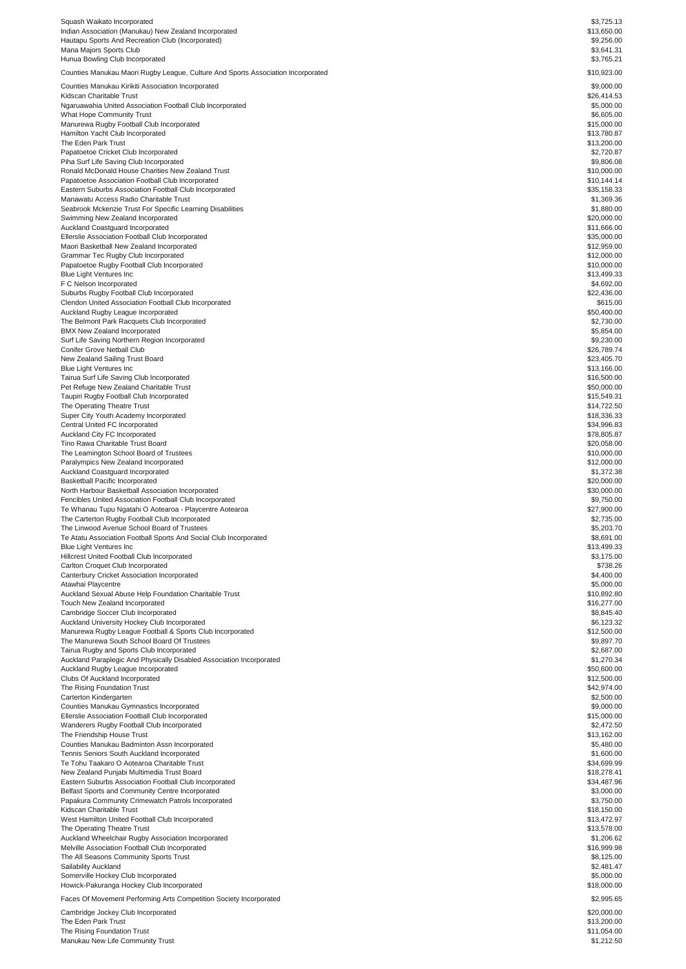| Squash Waikato Incorporated                                                                               | \$3,725.13                 |
|-----------------------------------------------------------------------------------------------------------|----------------------------|
| Indian Association (Manukau) New Zealand Incorporated                                                     | \$13,650.00                |
| Hautapu Sports And Recreation Club (Incorporated)<br>Mana Majors Sports Club                              | \$9,256.00<br>\$3.641.31   |
| Hunua Bowling Club Incorporated                                                                           | \$3,765.21                 |
| Counties Manukau Maori Rugby League, Culture And Sports Association Incorporated                          | \$10,923.00                |
| Counties Manukau Kirikiti Association Incorporated                                                        | \$9,000.00                 |
| Kidscan Charitable Trust                                                                                  | \$26,414.53                |
| Ngaruawahia United Association Football Club Incorporated<br><b>What Hope Community Trust</b>             | \$5,000.00<br>\$6,605.00   |
| Manurewa Rugby Football Club Incorporated                                                                 | \$15,000.00                |
| Hamilton Yacht Club Incorporated                                                                          | \$13,780.87                |
| The Eden Park Trust<br>Papatoetoe Cricket Club Incorporated                                               | \$13,200.00<br>\$2,720.87  |
| Piha Surf Life Saving Club Incorporated                                                                   | \$9,806.08                 |
| Ronald McDonald House Charities New Zealand Trust                                                         | \$10,000.00                |
| Papatoetoe Association Football Club Incorporated                                                         | \$10,144.14                |
| Eastern Suburbs Association Football Club Incorporated<br>Manawatu Access Radio Charitable Trust          | \$35,158.33<br>\$1,369.36  |
| Seabrook Mckenzie Trust For Specific Learning Disabilities                                                | \$1,880.00                 |
| Swimming New Zealand Incorporated                                                                         | \$20,000.00                |
| Auckland Coastguard Incorporated<br>Ellerslie Association Football Club Incorporated                      | \$11,666.00<br>\$35,000.00 |
| Maori Basketball New Zealand Incorporated                                                                 | \$12,959.00                |
| Grammar Tec Rugby Club Incorporated                                                                       | \$12,000.00                |
| Papatoetoe Rugby Football Club Incorporated<br><b>Blue Light Ventures Inc</b>                             | \$10,000.00<br>\$13,499.33 |
| F C Nelson Incorporated                                                                                   | \$4,692.00                 |
| Suburbs Rugby Football Club Incorporated                                                                  | \$22,436.00                |
| Clendon United Association Football Club Incorporated                                                     | \$615.00                   |
| Auckland Rugby League Incorporated<br>The Belmont Park Racquets Club Incorporated                         | \$50,400.00<br>\$2,730.00  |
| <b>BMX New Zealand Incorporated</b>                                                                       | \$5,854.00                 |
| Surf Life Saving Northern Region Incorporated                                                             | \$9,230.00                 |
| Conifer Grove Netball Club<br>New Zealand Sailing Trust Board                                             | \$26,789.74<br>\$23,405.70 |
| <b>Blue Light Ventures Inc</b>                                                                            | \$13,166.00                |
| Tairua Surf Life Saving Club Incorporated                                                                 | \$16,500.00                |
| Pet Refuge New Zealand Charitable Trust<br>Taupiri Rugby Football Club Incorporated                       | \$50,000.00<br>\$15,549.31 |
| The Operating Theatre Trust                                                                               | \$14,722.50                |
| Super City Youth Academy Incorporated                                                                     | \$18,336.33                |
| Central United FC Incorporated<br>Auckland City FC Incorporated                                           | \$34,996.83<br>\$78,805.87 |
| Tino Rawa Charitable Trust Board                                                                          | \$20,058.00                |
| The Leamington School Board of Trustees                                                                   | \$10,000.00                |
| Paralympics New Zealand Incorporated                                                                      | \$12,000.00                |
| Auckland Coastguard Incorporated<br>Basketball Pacific Incorporated                                       | \$1,372.38<br>\$20,000.00  |
| North Harbour Basketball Association Incorporated                                                         | \$30,000.00                |
| Fencibles United Association Football Club Incorporated                                                   | \$9,750.00                 |
| Te Whanau Tupu Ngatahi O Aotearoa - Playcentre Aotearoa<br>The Carterton Rugby Football Club Incorporated | \$27,900.00<br>\$2,735.00  |
| The Linwood Avenue School Board of Trustees                                                               | \$5,203.70                 |
| Te Atatu Association Football Sports And Social Club Incorporated                                         | \$8,691.00                 |
| <b>Blue Light Ventures Inc</b>                                                                            | \$13,499.33                |
| Hillcrest United Football Club Incorporated<br>Carlton Croquet Club Incorporated                          | \$3,175.00<br>\$738.26     |
| Canterbury Cricket Association Incorporated                                                               | \$4,400.00                 |
| Atawhai Playcentre                                                                                        | \$5,000.00                 |
| Auckland Sexual Abuse Help Foundation Charitable Trust<br>Touch New Zealand Incorporated                  | \$10,892.80<br>\$16,277.00 |
| Cambridge Soccer Club Incorporated                                                                        | \$8,845.40                 |
| Auckland University Hockey Club Incorporated                                                              | \$6,123.32                 |
| Manurewa Rugby League Football & Sports Club Incorporated<br>The Manurewa South School Board Of Trustees  | \$12,500.00<br>\$9,897.70  |
| Tairua Rugby and Sports Club Incorporated                                                                 | \$2,687.00                 |
| Auckland Paraplegic And Physically Disabled Association Incorporated                                      | \$1,270.34                 |
| Auckland Rugby League Incorporated                                                                        | \$50,600.00                |
| Clubs Of Auckland Incorporated<br>The Rising Foundation Trust                                             | \$12,500.00<br>\$42,974.00 |
| Carterton Kindergarten                                                                                    | \$2,500.00                 |
| Counties Manukau Gymnastics Incorporated                                                                  | \$9,000.00                 |
| Ellerslie Association Football Club Incorporated<br>Wanderers Rugby Football Club Incorporated            | \$15,000.00<br>\$2,472.50  |
| The Friendship House Trust                                                                                | \$13,162.00                |
| Counties Manukau Badminton Assn Incorporated                                                              | \$5,480.00                 |
| Tennis Seniors South Auckland Incorporated                                                                | \$1,600.00                 |
| Te Tohu Taakaro O Aotearoa Charitable Trust<br>New Zealand Punjabi Multimedia Trust Board                 | \$34,699.99<br>\$18,278.41 |
| Eastern Suburbs Association Football Club Incorporated                                                    | \$34,487.96                |
| Belfast Sports and Community Centre Incorporated                                                          | \$3,000.00                 |
| Papakura Community Crimewatch Patrols Incorporated<br>Kidscan Charitable Trust                            | \$3,750.00<br>\$18,150.00  |
| West Hamilton United Football Club Incorporated                                                           | \$13,472.97                |
| The Operating Theatre Trust                                                                               | \$13,578.00                |
| Auckland Wheelchair Rugby Association Incorporated                                                        | \$1,206.62                 |
| Melville Association Football Club Incorporated<br>The All Seasons Community Sports Trust                 | \$16,999.98<br>\$8,125.00  |
| Sailability Auckland                                                                                      | \$2,481.47                 |
| Somerville Hockey Club Incorporated                                                                       | \$5,000.00                 |
| Howick-Pakuranga Hockey Club Incorporated                                                                 | \$18,000.00                |
| Faces Of Movement Performing Arts Competition Society Incorporated                                        | \$2,995.65                 |
| Cambridge Jockey Club Incorporated                                                                        | \$20,000.00                |
| The Eden Park Trust<br>The Rising Foundation Trust                                                        | \$13,200.00<br>\$11,054.00 |
| Manukau New Life Community Trust                                                                          | \$1,212.50                 |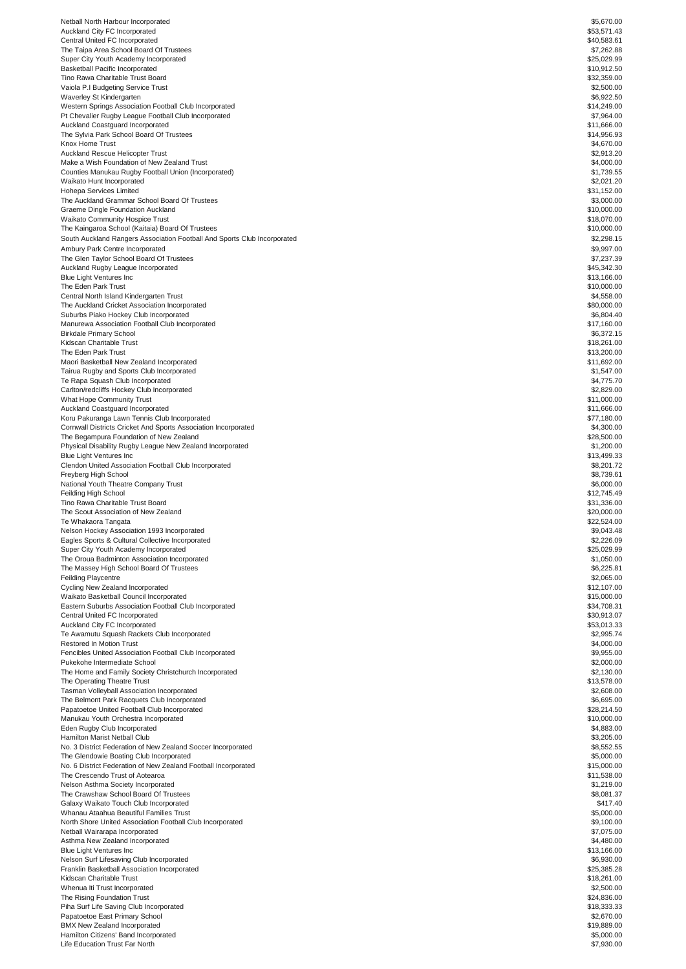| Netball North Harbour Incorporated                                                           | \$5,670.00                 |
|----------------------------------------------------------------------------------------------|----------------------------|
| Auckland City FC Incorporated                                                                | \$53,571.43                |
| Central United FC Incorporated                                                               | \$40,583.61                |
| The Taipa Area School Board Of Trustees                                                      | \$7,262.88                 |
| Super City Youth Academy Incorporated                                                        | \$25,029.99                |
| Basketball Pacific Incorporated<br>Tino Rawa Charitable Trust Board                          | \$10,912.50<br>\$32,359.00 |
| Vaiola P.I Budgeting Service Trust                                                           | \$2,500.00                 |
| Waverley St Kindergarten                                                                     | \$6,922.50                 |
| Western Springs Association Football Club Incorporated                                       | \$14,249.00                |
| Pt Chevalier Rugby League Football Club Incorporated                                         | \$7,964.00                 |
| Auckland Coastguard Incorporated                                                             | \$11,666.00                |
| The Sylvia Park School Board Of Trustees                                                     | \$14,956.93                |
| Knox Home Trust                                                                              | \$4,670.00                 |
| Auckland Rescue Helicopter Trust                                                             | \$2,913.20                 |
| Make a Wish Foundation of New Zealand Trust                                                  | \$4,000.00                 |
| Counties Manukau Rugby Football Union (Incorporated)                                         | \$1,739.55                 |
| Waikato Hunt Incorporated<br>Hohepa Services Limited                                         | \$2,021.20<br>\$31,152.00  |
| The Auckland Grammar School Board Of Trustees                                                | \$3,000.00                 |
| Graeme Dingle Foundation Auckland                                                            | \$10,000.00                |
| Waikato Community Hospice Trust                                                              | \$18,070.00                |
| The Kaingaroa School (Kaitaia) Board Of Trustees                                             | \$10,000.00                |
| South Auckland Rangers Association Football And Sports Club Incorporated                     | \$2,298.15                 |
| Ambury Park Centre Incorporated                                                              | \$9,997.00                 |
| The Glen Taylor School Board Of Trustees                                                     | \$7,237.39                 |
| Auckland Rugby League Incorporated                                                           | \$45,342.30                |
| Blue Light Ventures Inc                                                                      | \$13,166.00                |
| The Eden Park Trust                                                                          | \$10,000.00                |
| Central North Island Kindergarten Trust<br>The Auckland Cricket Association Incorporated     | \$4,558.00<br>\$80,000.00  |
| Suburbs Piako Hockey Club Incorporated                                                       | \$6,804.40                 |
| Manurewa Association Football Club Incorporated                                              | \$17,160.00                |
| Birkdale Primary School                                                                      | \$6,372.15                 |
| Kidscan Charitable Trust                                                                     | \$18,261.00                |
| The Eden Park Trust                                                                          | \$13,200.00                |
| Maori Basketball New Zealand Incorporated                                                    | \$11,692.00                |
| Tairua Rugby and Sports Club Incorporated                                                    | \$1,547.00                 |
| Te Rapa Squash Club Incorporated                                                             | \$4,775.70                 |
| Carlton/redcliffs Hockey Club Incorporated                                                   | \$2,829.00                 |
| What Hope Community Trust                                                                    | \$11,000.00                |
| Auckland Coastguard Incorporated<br>Koru Pakuranga Lawn Tennis Club Incorporated             | \$11,666.00<br>\$77,180.00 |
| Cornwall Districts Cricket And Sports Association Incorporated                               | \$4,300.00                 |
| The Begampura Foundation of New Zealand                                                      | \$28,500.00                |
| Physical Disability Rugby League New Zealand Incorporated                                    | \$1,200.00                 |
| Blue Light Ventures Inc                                                                      | \$13,499.33                |
| Clendon United Association Football Club Incorporated                                        | \$8,201.72                 |
| Freyberg High School                                                                         | \$8,739.61                 |
| National Youth Theatre Company Trust                                                         | \$6,000.00                 |
| Feilding High School                                                                         | \$12,745.49                |
| Tino Rawa Charitable Trust Board                                                             | \$31,336.00                |
| The Scout Association of New Zealand<br>Te Whakaora Tangata                                  | \$20,000.00<br>\$22,524.00 |
| Nelson Hockey Association 1993 Incorporated                                                  | \$9,043.48                 |
| Eagles Sports & Cultural Collective Incorporated                                             | \$2,226.09                 |
| Super City Youth Academy Incorporated                                                        | \$25,029.99                |
| The Oroua Badminton Association Incorporated                                                 | \$1,050.00                 |
| The Massey High School Board Of Trustees                                                     | \$6,225.81                 |
| <b>Feilding Playcentre</b>                                                                   | \$2,065.00                 |
| Cycling New Zealand Incorporated                                                             | \$12,107.00                |
| Waikato Basketball Council Incorporated                                                      | \$15,000.00                |
| Eastern Suburbs Association Football Club Incorporated                                       | \$34,708.31                |
| Central United FC Incorporated                                                               | \$30,913.07                |
| Auckland City FC Incorporated<br>Te Awamutu Squash Rackets Club Incorporated                 | \$53,013.33<br>\$2,995.74  |
| Restored In Motion Trust                                                                     | \$4,000.00                 |
| Fencibles United Association Football Club Incorporated                                      | \$9,955.00                 |
| Pukekohe Intermediate School                                                                 | \$2,000.00                 |
| The Home and Family Society Christchurch Incorporated                                        | \$2,130.00                 |
| The Operating Theatre Trust                                                                  | \$13,578.00                |
| Tasman Volleyball Association Incorporated                                                   | \$2,608.00                 |
| The Belmont Park Racquets Club Incorporated                                                  | \$6,695.00                 |
| Papatoetoe United Football Club Incorporated                                                 | \$28,214.50                |
| Manukau Youth Orchestra Incorporated                                                         | \$10,000.00                |
| Eden Rugby Club Incorporated                                                                 | \$4,883.00                 |
| Hamilton Marist Netball Club<br>No. 3 District Federation of New Zealand Soccer Incorporated | \$3,205.00<br>\$8,552.55   |
| The Glendowie Boating Club Incorporated                                                      | \$5,000.00                 |
| No. 6 District Federation of New Zealand Football Incorporated                               | \$15,000.00                |
| The Crescendo Trust of Aotearoa                                                              | \$11,538.00                |
| Nelson Asthma Society Incorporated                                                           | \$1,219.00                 |
| The Crawshaw School Board Of Trustees                                                        | \$8,081.37                 |
| Galaxy Waikato Touch Club Incorporated                                                       | \$417.40                   |
| Whanau Ataahua Beautiful Families Trust                                                      | \$5,000.00                 |
| North Shore United Association Football Club Incorporated                                    | \$9,100.00                 |
| Netball Wairarapa Incorporated                                                               | \$7,075.00                 |
| Asthma New Zealand Incorporated                                                              | \$4,480.00                 |
| Blue Light Ventures Inc                                                                      | \$13,166.00                |
| Nelson Surf Lifesaving Club Incorporated<br>Franklin Basketball Association Incorporated     | \$6,930.00<br>\$25,385.28  |
| Kidscan Charitable Trust                                                                     | \$18,261.00                |
| Whenua Iti Trust Incorporated                                                                | \$2,500.00                 |
| The Rising Foundation Trust                                                                  | \$24,836.00                |
| Piha Surf Life Saving Club Incorporated                                                      | \$18,333,33                |
| Papatoetoe East Primary School                                                               | \$2,670.00                 |
| <b>BMX New Zealand Incorporated</b>                                                          | \$19,889.00                |
| Hamilton Citizens' Band Incorporated                                                         | \$5,000.00                 |
| Life Education Trust Far North                                                               | \$7,930.00                 |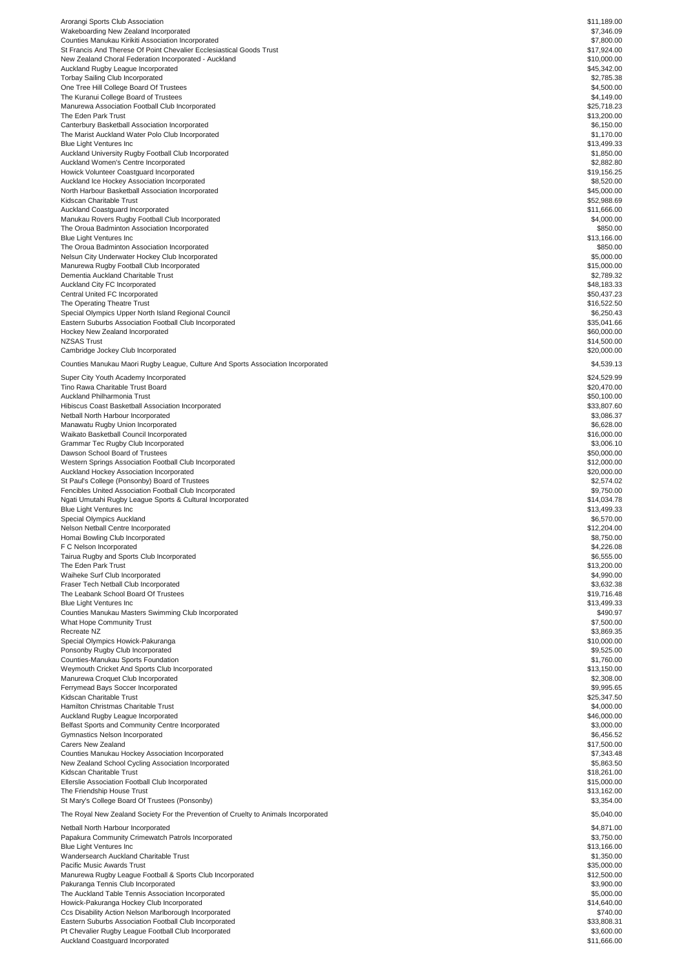| Arorangi Sports Club Association                                                    | \$11,189.00 |
|-------------------------------------------------------------------------------------|-------------|
| Wakeboarding New Zealand Incorporated                                               | \$7,346.09  |
| Counties Manukau Kirikiti Association Incorporated                                  | \$7,800.00  |
| St Francis And Therese Of Point Chevalier Ecclesiastical Goods Trust                | \$17,924.00 |
| New Zealand Choral Federation Incorporated - Auckland                               | \$10,000.00 |
| Auckland Rugby League Incorporated                                                  | \$45,342.00 |
| <b>Torbay Sailing Club Incorporated</b>                                             | \$2,785.38  |
| One Tree Hill College Board Of Trustees                                             | \$4,500.00  |
| The Kuranui College Board of Trustees                                               | \$4,149.00  |
| Manurewa Association Football Club Incorporated                                     | \$25,718.23 |
| The Eden Park Trust                                                                 | \$13,200.00 |
| Canterbury Basketball Association Incorporated                                      | \$6,150.00  |
| The Marist Auckland Water Polo Club Incorporated                                    | \$1,170.00  |
| <b>Blue Light Ventures Inc</b>                                                      | \$13,499.33 |
| Auckland University Rugby Football Club Incorporated                                | \$1,850.00  |
| Auckland Women's Centre Incorporated                                                | \$2,882.80  |
| Howick Volunteer Coastquard Incorporated                                            | \$19,156.25 |
| Auckland Ice Hockey Association Incorporated                                        | \$8,520.00  |
| North Harbour Basketball Association Incorporated                                   | \$45,000.00 |
|                                                                                     |             |
| Kidscan Charitable Trust                                                            | \$52,988.69 |
| Auckland Coastguard Incorporated                                                    | \$11,666.00 |
| Manukau Rovers Rugby Football Club Incorporated                                     | \$4,000.00  |
| The Oroua Badminton Association Incorporated                                        | \$850.00    |
| <b>Blue Light Ventures Inc</b>                                                      | \$13,166.00 |
| The Oroua Badminton Association Incorporated                                        | \$850.00    |
| Nelsun City Underwater Hockey Club Incorporated                                     | \$5,000.00  |
| Manurewa Rugby Football Club Incorporated                                           | \$15,000.00 |
| Dementia Auckland Charitable Trust                                                  | \$2,789.32  |
| Auckland City FC Incorporated                                                       | \$48,183.33 |
| Central United FC Incorporated                                                      | \$50,437.23 |
| The Operating Theatre Trust                                                         | \$16,522.50 |
| Special Olympics Upper North Island Regional Council                                | \$6,250.43  |
| Eastern Suburbs Association Football Club Incorporated                              | \$35,041.66 |
| Hockey New Zealand Incorporated                                                     | \$60,000.00 |
| <b>NZSAS Trust</b>                                                                  | \$14,500.00 |
|                                                                                     |             |
| Cambridge Jockey Club Incorporated                                                  | \$20,000.00 |
| Counties Manukau Maori Rugby League, Culture And Sports Association Incorporated    | \$4,539.13  |
|                                                                                     |             |
| Super City Youth Academy Incorporated                                               | \$24,529.99 |
| Tino Rawa Charitable Trust Board                                                    | \$20,470.00 |
| Auckland Philharmonia Trust                                                         | \$50,100.00 |
| Hibiscus Coast Basketball Association Incorporated                                  | \$33,807.60 |
| Netball North Harbour Incorporated                                                  | \$3,086.37  |
| Manawatu Rugby Union Incorporated                                                   | \$6,628.00  |
| Waikato Basketball Council Incorporated                                             | \$16,000.00 |
| Grammar Tec Rugby Club Incorporated                                                 | \$3,006.10  |
| Dawson School Board of Trustees                                                     | \$50,000.00 |
| Western Springs Association Football Club Incorporated                              | \$12,000.00 |
|                                                                                     | \$20,000.00 |
| Auckland Hockey Association Incorporated                                            |             |
| St Paul's College (Ponsonby) Board of Trustees                                      | \$2,574.02  |
| Fencibles United Association Football Club Incorporated                             | \$9,750.00  |
| Ngati Umutahi Rugby League Sports & Cultural Incorporated                           | \$14,034.78 |
| <b>Blue Light Ventures Inc</b>                                                      | \$13,499.33 |
| Special Olympics Auckland                                                           | \$6,570.00  |
| Nelson Netball Centre Incorporated                                                  | \$12,204.00 |
| Homai Bowling Club Incorporated                                                     | \$8,750.00  |
| F C Nelson Incorporated                                                             | \$4,226.08  |
| Tairua Rugby and Sports Club Incorporated                                           | \$6,555.00  |
| The Eden Park Trust                                                                 | \$13,200.00 |
| Waiheke Surf Club Incorporated                                                      | \$4,990.00  |
| Fraser Tech Netball Club Incorporated                                               | \$3,632.38  |
| The Leabank School Board Of Trustees                                                | \$19,716.48 |
|                                                                                     | \$13,499.33 |
| <b>Blue Light Ventures Inc</b>                                                      |             |
| Counties Manukau Masters Swimming Club Incorporated                                 | \$490.97    |
| What Hope Community Trust                                                           | \$7,500.00  |
| Recreate NZ                                                                         | \$3,869.35  |
| Special Olympics Howick-Pakuranga                                                   | \$10,000.00 |
| Ponsonby Rugby Club Incorporated                                                    | \$9,525.00  |
| Counties-Manukau Sports Foundation                                                  | \$1,760.00  |
| Weymouth Cricket And Sports Club Incorporated                                       | \$13,150.00 |
| Manurewa Croquet Club Incorporated                                                  | \$2,308.00  |
| Ferrymead Bays Soccer Incorporated                                                  | \$9,995.65  |
| Kidscan Charitable Trust                                                            | \$25,347.50 |
| Hamilton Christmas Charitable Trust                                                 | \$4,000.00  |
| Auckland Rugby League Incorporated                                                  | \$46,000.00 |
| Belfast Sports and Community Centre Incorporated                                    | \$3,000.00  |
| Gymnastics Nelson Incorporated                                                      | \$6,456.52  |
| Carers New Zealand                                                                  | \$17,500.00 |
| Counties Manukau Hockey Association Incorporated                                    | \$7,343.48  |
|                                                                                     |             |
| New Zealand School Cycling Association Incorporated                                 | \$5,863.50  |
| Kidscan Charitable Trust                                                            | \$18,261.00 |
| Ellerslie Association Football Club Incorporated                                    | \$15,000.00 |
| The Friendship House Trust                                                          | \$13,162.00 |
| St Mary's College Board Of Trustees (Ponsonby)                                      | \$3,354.00  |
| The Royal New Zealand Society For the Prevention of Cruelty to Animals Incorporated | \$5,040.00  |
|                                                                                     |             |
| Netball North Harbour Incorporated                                                  | \$4,871.00  |
| Papakura Community Crimewatch Patrols Incorporated                                  | \$3,750.00  |
| Blue Light Ventures Inc                                                             | \$13,166.00 |
| Wandersearch Auckland Charitable Trust                                              | \$1,350.00  |
| Pacific Music Awards Trust                                                          | \$35,000.00 |
| Manurewa Rugby League Football & Sports Club Incorporated                           | \$12,500.00 |
| Pakuranga Tennis Club Incorporated                                                  | \$3,900.00  |
| The Auckland Table Tennis Association Incorporated                                  | \$5,000.00  |
| Howick-Pakuranga Hockey Club Incorporated                                           | \$14,640.00 |
|                                                                                     |             |
| Ccs Disability Action Nelson Marlborough Incorporated                               | \$740.00    |
| Eastern Suburbs Association Football Club Incorporated                              | \$33,808.31 |
| Pt Chevalier Rugby League Football Club Incorporated                                | \$3,600.00  |
| Auckland Coastguard Incorporated                                                    | \$11,666.00 |